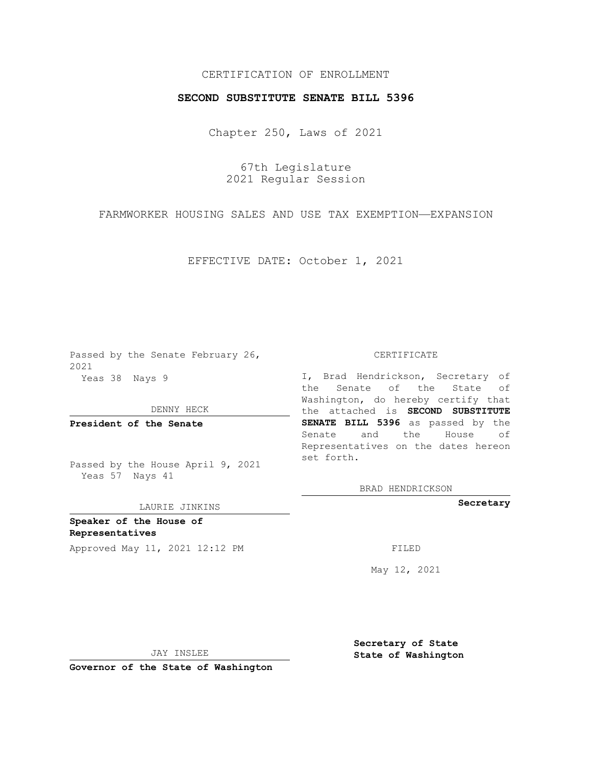## CERTIFICATION OF ENROLLMENT

## **SECOND SUBSTITUTE SENATE BILL 5396**

Chapter 250, Laws of 2021

67th Legislature 2021 Regular Session

FARMWORKER HOUSING SALES AND USE TAX EXEMPTION—EXPANSION

EFFECTIVE DATE: October 1, 2021

Passed by the Senate February 26, 2021 Yeas 38 Nays 9

DENNY HECK

**President of the Senate**

Passed by the House April 9, 2021 Yeas 57 Nays 41

#### LAURIE JINKINS

**Speaker of the House of Representatives**

Approved May 11, 2021 12:12 PM FILED

CERTIFICATE

I, Brad Hendrickson, Secretary of the Senate of the State of Washington, do hereby certify that the attached is **SECOND SUBSTITUTE SENATE BILL 5396** as passed by the Senate and the House of Representatives on the dates hereon set forth.

BRAD HENDRICKSON

**Secretary**

May 12, 2021

JAY INSLEE

**Governor of the State of Washington**

**Secretary of State State of Washington**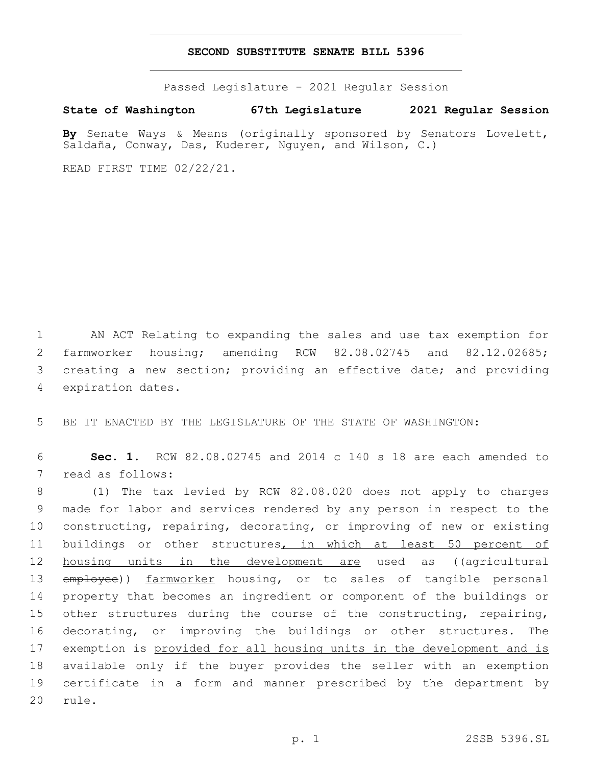### **SECOND SUBSTITUTE SENATE BILL 5396**

Passed Legislature - 2021 Regular Session

**State of Washington 67th Legislature 2021 Regular Session**

**By** Senate Ways & Means (originally sponsored by Senators Lovelett, Saldaña, Conway, Das, Kuderer, Nguyen, and Wilson, C.)

READ FIRST TIME 02/22/21.

 AN ACT Relating to expanding the sales and use tax exemption for farmworker housing; amending RCW 82.08.02745 and 82.12.02685; creating a new section; providing an effective date; and providing 4 expiration dates.

5 BE IT ENACTED BY THE LEGISLATURE OF THE STATE OF WASHINGTON:

6 **Sec. 1.** RCW 82.08.02745 and 2014 c 140 s 18 are each amended to 7 read as follows:

 (1) The tax levied by RCW 82.08.020 does not apply to charges made for labor and services rendered by any person in respect to the constructing, repairing, decorating, or improving of new or existing buildings or other structures, in which at least 50 percent of 12 housing units in the development are used as ((agricultural 13 employee)) farmworker housing, or to sales of tangible personal property that becomes an ingredient or component of the buildings or 15 other structures during the course of the constructing, repairing, decorating, or improving the buildings or other structures. The 17 exemption is provided for all housing units in the development and is available only if the buyer provides the seller with an exemption certificate in a form and manner prescribed by the department by 20 rule.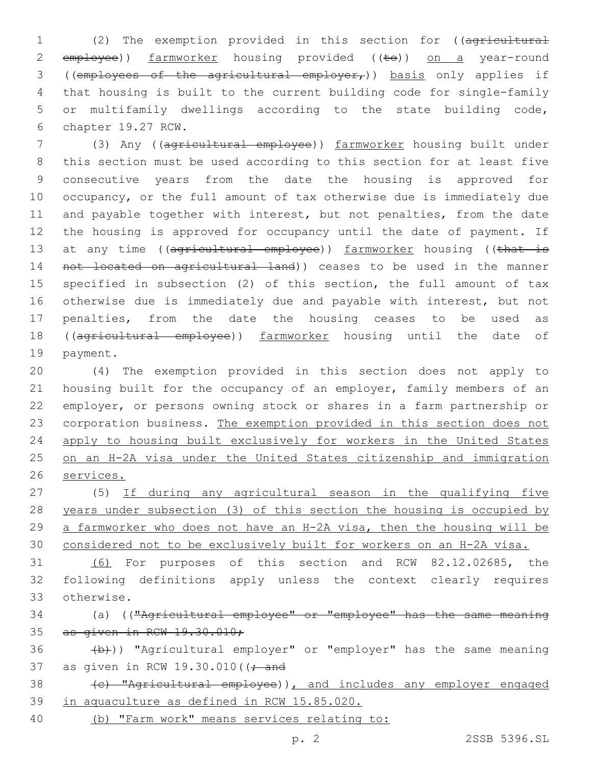(2) The exemption provided in this section for ((agricultural 2 employee)) farmworker housing provided ((to)) on a year-round ((employees of the agricultural employer,)) basis only applies if that housing is built to the current building code for single-family or multifamily dwellings according to the state building code, 6 chapter 19.27 RCW.

 (3) Any ((agricultural employee)) farmworker housing built under this section must be used according to this section for at least five consecutive years from the date the housing is approved for occupancy, or the full amount of tax otherwise due is immediately due and payable together with interest, but not penalties, from the date the housing is approved for occupancy until the date of payment. If 13 at any time ((agricultural employee)) farmworker housing ((that is not located on agricultural land)) ceases to be used in the manner specified in subsection (2) of this section, the full amount of tax otherwise due is immediately due and payable with interest, but not penalties, from the date the housing ceases to be used as 18 ((agricultural employee)) farmworker housing until the date of 19 payment.

 (4) The exemption provided in this section does not apply to housing built for the occupancy of an employer, family members of an employer, or persons owning stock or shares in a farm partnership or corporation business. The exemption provided in this section does not apply to housing built exclusively for workers in the United States on an H-2A visa under the United States citizenship and immigration services.

 (5) If during any agricultural season in the qualifying five years under subsection (3) of this section the housing is occupied by a farmworker who does not have an H-2A visa, then the housing will be considered not to be exclusively built for workers on an H-2A visa.

 (6) For purposes of this section and RCW 82.12.02685, the following definitions apply unless the context clearly requires otherwise.33

# (a) (("Agricultural employee" or "employee" has the same meaning as given in RCW 19.30.010;

 (b)) "Agricultural employer" or "employer" has the same meaning 37 as given in RCW 19.30.010( $(-\text{and}$ 

38 (c) "Agricultural employee)), and includes any employer engaged in aquaculture as defined in RCW 15.85.020.

(b) "Farm work" means services relating to: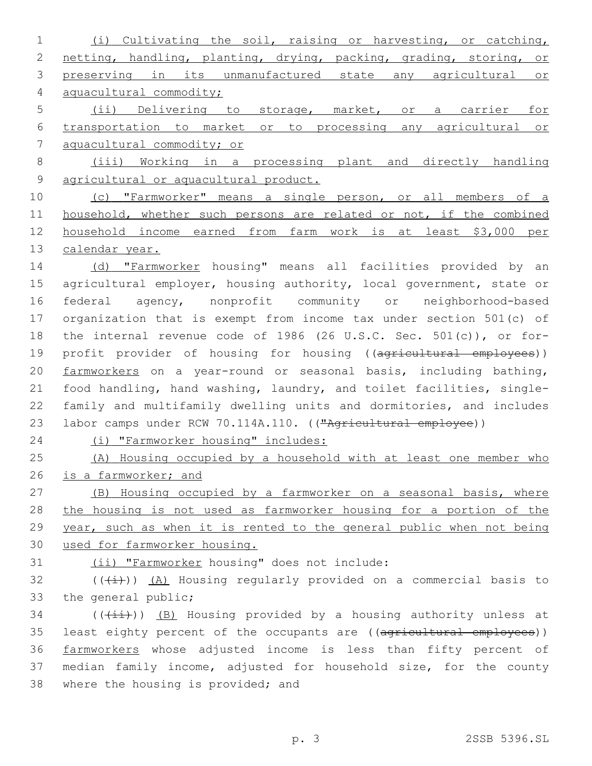(i) Cultivating the soil, raising or harvesting, or catching, netting, handling, planting, drying, packing, grading, storing, or preserving in its unmanufactured state any agricultural or aquacultural commodity; (ii) Delivering to storage, market, or a carrier for transportation to market or to processing any agricultural or aquacultural commodity; or (iii) Working in a processing plant and directly handling

agricultural or aquacultural product.

 (c) "Farmworker" means a single person, or all members of a household, whether such persons are related or not, if the combined household income earned from farm work is at least \$3,000 per 13 calendar year.

14 (d) "Farmworker housing" means all facilities provided by an 15 agricultural employer, housing authority, local government, state or federal agency, nonprofit community or neighborhood-based organization that is exempt from income tax under section 501(c) of the internal revenue code of 1986 (26 U.S.C. Sec. 501(c)), or for-19 profit provider of housing for housing ((agricultural employees)) farmworkers on a year-round or seasonal basis, including bathing, food handling, hand washing, laundry, and toilet facilities, single- family and multifamily dwelling units and dormitories, and includes 23 labor camps under RCW 70.114A.110. (("Agricultural employee))

(i) "Farmworker housing" includes:

 (A) Housing occupied by a household with at least one member who 26 is a farmworker; and

 (B) Housing occupied by a farmworker on a seasonal basis, where 28 the housing is not used as farmworker housing for a portion of the year, such as when it is rented to the general public when not being used for farmworker housing.

31 (ii) "Farmworker housing" does not include:

 $(1)$   $(1)$   $(2)$  Housing regularly provided on a commercial basis to 33 the general public;

 (( $(i+i)$ )) (B) Housing provided by a housing authority unless at 35 least eighty percent of the occupants are ((agricultural employees)) farmworkers whose adjusted income is less than fifty percent of median family income, adjusted for household size, for the county 38 where the housing is provided; and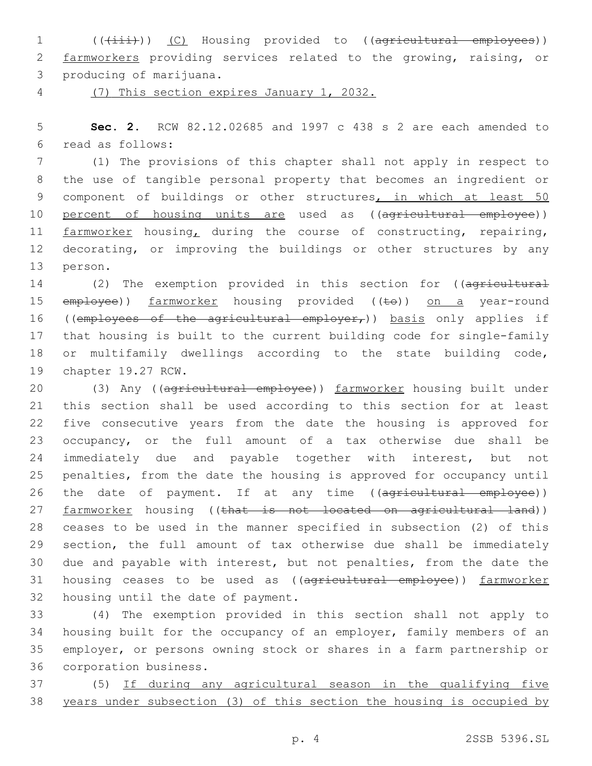1 (( $(i+ii)$ ) (C) Housing provided to ((agricultural employees)) 2 farmworkers providing services related to the growing, raising, or 3 producing of marijuana.

4 (7) This section expires January 1, 2032.

5 **Sec. 2.** RCW 82.12.02685 and 1997 c 438 s 2 are each amended to read as follows:6

7 (1) The provisions of this chapter shall not apply in respect to 8 the use of tangible personal property that becomes an ingredient or 9 component of buildings or other structures, in which at least 50 10 percent of housing units are used as ((agricultural employee)) 11 farmworker housing, during the course of constructing, repairing, 12 decorating, or improving the buildings or other structures by any 13 person.

14 (2) The exemption provided in this section for ((agricultural 15 employee)) farmworker housing provided ((te)) on a year-round 16 ((employees of the agricultural employer,)) basis only applies if 17 that housing is built to the current building code for single-family 18 or multifamily dwellings according to the state building code, 19 chapter 19.27 RCW.

20 (3) Any ((agricultural employee)) farmworker housing built under 21 this section shall be used according to this section for at least 22 five consecutive years from the date the housing is approved for 23 occupancy, or the full amount of a tax otherwise due shall be 24 immediately due and payable together with interest, but not 25 penalties, from the date the housing is approved for occupancy until 26 the date of payment. If at any time ((agricultural employee)) 27 farmworker housing ((that is not located on agricultural land)) 28 ceases to be used in the manner specified in subsection (2) of this 29 section, the full amount of tax otherwise due shall be immediately 30 due and payable with interest, but not penalties, from the date the 31 housing ceases to be used as ((agricultural employee)) farmworker 32 housing until the date of payment.

 (4) The exemption provided in this section shall not apply to housing built for the occupancy of an employer, family members of an employer, or persons owning stock or shares in a farm partnership or 36 corporation business.

37 (5) If during any agricultural season in the qualifying five 38 years under subsection (3) of this section the housing is occupied by